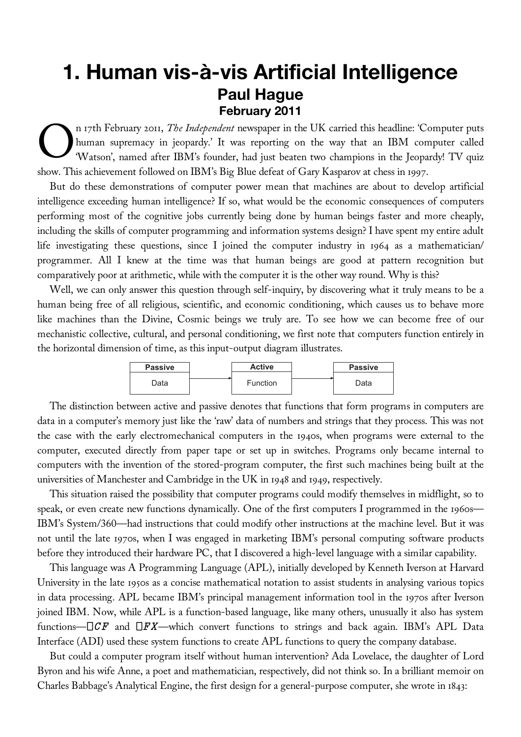## **1. Human vis-à-vis Artificial Intelligence Paul Hague February 2011**

n 17th February 2011, *The Independent* newspaper in the UK carried this headline: 'Computer puts human supremacy in jeopardy.' It was reporting on the way that an IBM computer called 'Watson', named after IBM's founder, had just beaten two champions in the Jeopardy! TV quiz show. This achievement followed on IBM's Big Blue defeat of Gary Kasparov at chess in 1997. O

But do these demonstrations of computer power mean that machines are about to develop artificial intelligence exceeding human intelligence? If so, what would be the economic consequences of computers performing most of the cognitive jobs currently being done by human beings faster and more cheaply, including the skills of computer programming and information systems design? I have spent my entire adult life investigating these questions, since I joined the computer industry in 1964 as a mathematician/ programmer. All I knew at the time was that human beings are good at pattern recognition but comparatively poor at arithmetic, while with the computer it is the other way round. Why is this?

Well, we can only answer this question through self-inquiry, by discovering what it truly means to be a human being free of all religious, scientific, and economic conditioning, which causes us to behave more like machines than the Divine, Cosmic beings we truly are. To see how we can become free of our mechanistic collective, cultural, and personal conditioning, we first note that computers function entirely in the horizontal dimension of time, as this input-output diagram illustrates.

| <b>Passive</b> | <b>Active</b> | <b>Passive</b> |
|----------------|---------------|----------------|
| Data           | Function      | Data           |

The distinction between active and passive denotes that functions that form programs in computers are data in a computer's memory just like the 'raw' data of numbers and strings that they process. This was not the case with the early electromechanical computers in the 1940s, when programs were external to the computer, executed directly from paper tape or set up in switches. Programs only became internal to computers with the invention of the stored-program computer, the first such machines being built at the universities of Manchester and Cambridge in the UK in 1948 and 1949, respectively.

This situation raised the possibility that computer programs could modify themselves in midflight, so to speak, or even create new functions dynamically. One of the first computers I programmed in the 1960s— IBM's System/360—had instructions that could modify other instructions at the machine level. But it was not until the late 1970s, when I was engaged in marketing IBM's personal computing software products before they introduced their hardware PC, that I discovered a high-level language with a similar capability.

This language was A Programming Language (APL), initially developed by Kenneth Iverson at Harvard University in the late 1950s as a concise mathematical notation to assist students in analysing various topics in data processing. APL became IBM's principal management information tool in the 1970s after Iverson joined IBM. Now, while APL is a function-based language, like many others, unusually it also has system functions— $\Box CF$  and  $\Box FX$ —which convert functions to strings and back again. IBM's APL Data Interface (ADI) used these system functions to create APL functions to query the company database.

But could a computer program itself without human intervention? Ada Lovelace, the daughter of Lord Byron and his wife Anne, a poet and mathematician, respectively, did not think so. In a brilliant memoir on Charles Babbage's Analytical Engine, the first design for a general-purpose computer, she wrote in 1843: